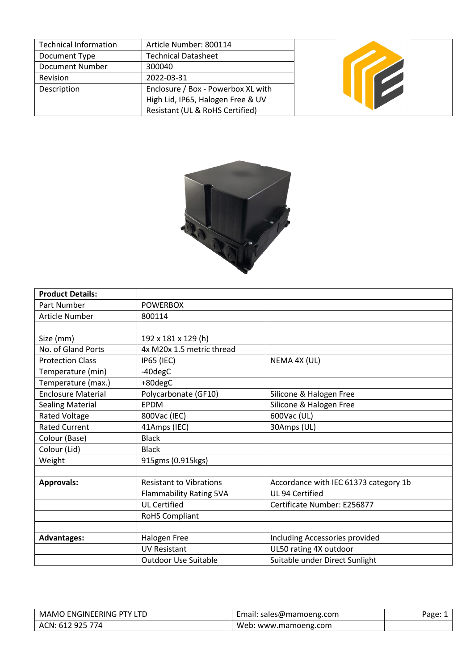| Technical Information  | Article Number: 800114             |  |
|------------------------|------------------------------------|--|
| Document Type          | <b>Technical Datasheet</b>         |  |
| <b>Document Number</b> | 300040                             |  |
| Revision               | 2022-03-31                         |  |
| Description            | Enclosure / Box - Powerbox XL with |  |
|                        | High Lid, IP65, Halogen Free & UV  |  |
|                        | Resistant (UL & RoHS Certified)    |  |



| <b>Product Details:</b>   |                                |                                       |
|---------------------------|--------------------------------|---------------------------------------|
| <b>Part Number</b>        | <b>POWERBOX</b>                |                                       |
| <b>Article Number</b>     | 800114                         |                                       |
|                           |                                |                                       |
| Size (mm)                 | 192 x 181 x 129 (h)            |                                       |
| No. of Gland Ports        | 4x M20x 1.5 metric thread      |                                       |
| <b>Protection Class</b>   | <b>IP65 (IEC)</b>              | NEMA 4X (UL)                          |
| Temperature (min)         | $-40$ deg $C$                  |                                       |
| Temperature (max.)        | +80degC                        |                                       |
| <b>Enclosure Material</b> | Polycarbonate (GF10)           | Silicone & Halogen Free               |
| <b>Sealing Material</b>   | <b>EPDM</b>                    | Silicone & Halogen Free               |
| <b>Rated Voltage</b>      | 800Vac (IEC)                   | 600Vac (UL)                           |
| <b>Rated Current</b>      | 41Amps (IEC)                   | 30Amps (UL)                           |
| Colour (Base)             | <b>Black</b>                   |                                       |
| Colour (Lid)              | <b>Black</b>                   |                                       |
| Weight                    | 915gms (0.915kgs)              |                                       |
|                           |                                |                                       |
| <b>Approvals:</b>         | <b>Resistant to Vibrations</b> | Accordance with IEC 61373 category 1b |
|                           | <b>Flammability Rating 5VA</b> | UL 94 Certified                       |
|                           | <b>UL Certified</b>            | Certificate Number: E256877           |
|                           | <b>RoHS Compliant</b>          |                                       |
|                           |                                |                                       |
| <b>Advantages:</b>        | Halogen Free                   | Including Accessories provided        |
|                           | <b>UV Resistant</b>            | UL50 rating 4X outdoor                |
|                           | <b>Outdoor Use Suitable</b>    | Suitable under Direct Sunlight        |

| <b>ENGINEERING PTY L</b><br>-MAMO | $-$ m<br>: sales@mamoeng.com<br>IIIdII. | ים חבר<br>$\overline{a}$ |
|-----------------------------------|-----------------------------------------|--------------------------|
| ACN: 1<br>925<br>774<br>$-61$     | www.mamoeng.com<br>web.                 |                          |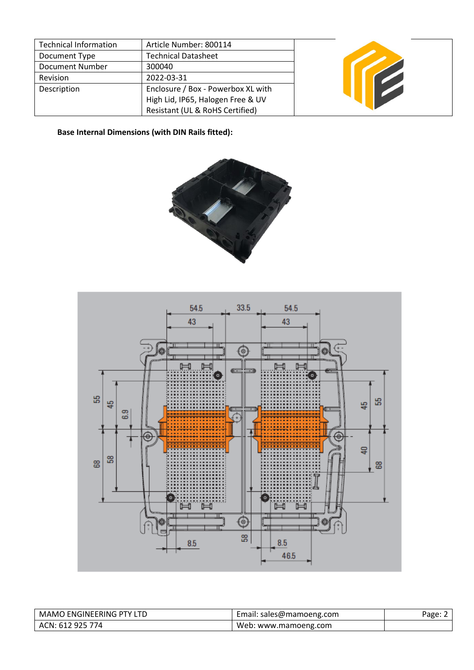| <b>Technical Information</b> | Article Number: 800114             |  |
|------------------------------|------------------------------------|--|
| Document Type                | <b>Technical Datasheet</b>         |  |
| Document Number              | 300040                             |  |
| Revision                     | 2022-03-31                         |  |
| Description                  | Enclosure / Box - Powerbox XL with |  |
|                              | High Lid, IP65, Halogen Free & UV  |  |
|                              | Resistant (UL & RoHS Certified)    |  |

**Base Internal Dimensions (with DIN Rails fitted):**





| MAMO ENGINEERING PTY LTD | Email: sales@mamoeng.com | Page: $2$ |
|--------------------------|--------------------------|-----------|
| ACN: 612 925 774         | Web: www.mamoeng.com     |           |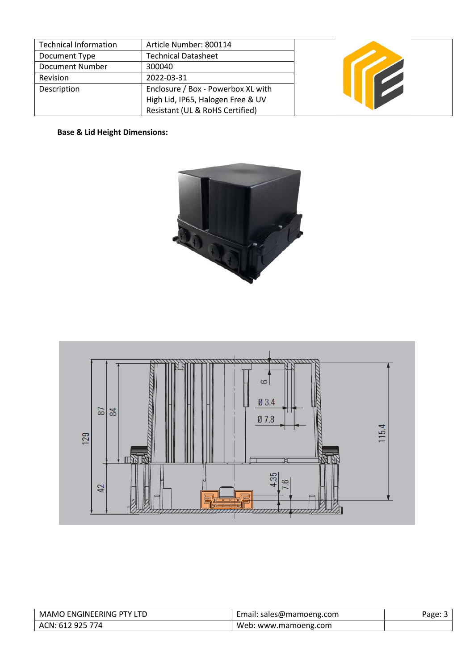| <b>Technical Information</b> | Article Number: 800114             |  |
|------------------------------|------------------------------------|--|
| Document Type                | <b>Technical Datasheet</b>         |  |
| Document Number              | 300040                             |  |
| Revision                     | 2022-03-31                         |  |
| Description                  | Enclosure / Box - Powerbox XL with |  |
|                              | High Lid, IP65, Halogen Free & UV  |  |
|                              | Resistant (UL & RoHS Certified)    |  |

**Base & Lid Height Dimensions:**





| <b>MAMO ENGINEERING PTY LTD</b> | Email: sales@mamoeng.com  | Page: 5 |
|---------------------------------|---------------------------|---------|
| ACN: 612 925 774                | Web:<br>: www.mamoeng.com |         |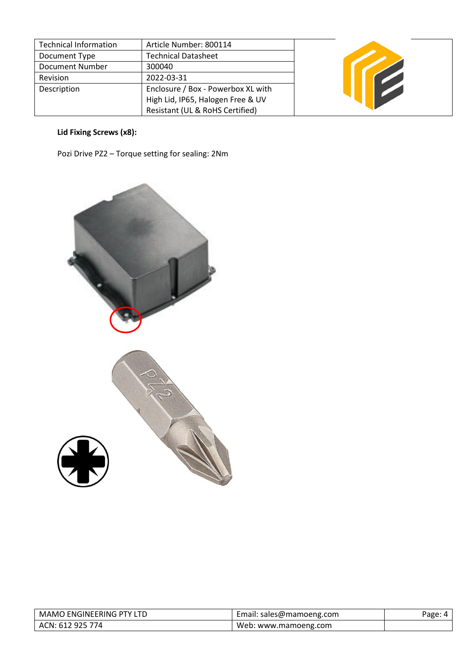| <b>Technical Information</b> | Article Number: 800114             |  |
|------------------------------|------------------------------------|--|
| Document Type                | <b>Technical Datasheet</b>         |  |
| Document Number              | 300040                             |  |
| Revision                     | 2022-03-31                         |  |
| Description                  | Enclosure / Box - Powerbox XL with |  |
|                              | High Lid, IP65, Halogen Free & UV  |  |
|                              | Resistant (UL & RoHS Certified)    |  |

# **Lid Fixing Screws (x8):**

Pozi Drive PZ2 – Torque setting for sealing: 2Nm



| MAMO ENGINEERING PTY LTD | Email: sales@mamoeng.com | Page: |
|--------------------------|--------------------------|-------|
| ACN: 612 925 774         | Web: www.mamoeng.com     |       |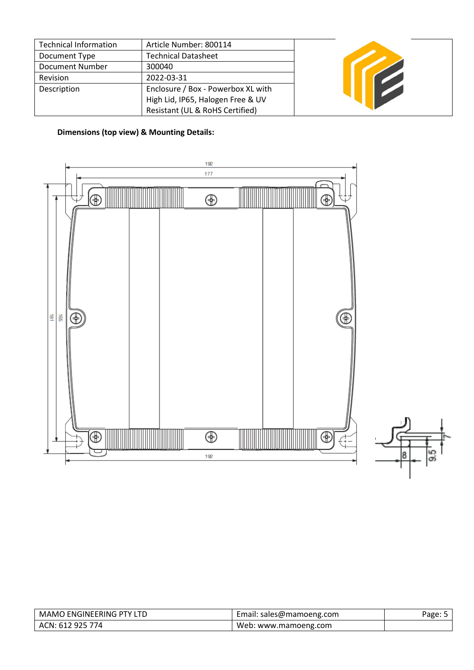| <b>Technical Information</b> | Article Number: 800114             |  |
|------------------------------|------------------------------------|--|
| Document Type                | <b>Technical Datasheet</b>         |  |
| Document Number              | 300040                             |  |
| Revision                     | 2022-03-31                         |  |
| Description                  | Enclosure / Box - Powerbox XL with |  |
|                              | High Lid, IP65, Halogen Free & UV  |  |
|                              | Resistant (UL & RoHS Certified)    |  |

## **Dimensions (top view) & Mounting Details:**





| MAMO ENGINEERING PTY LTD | Email: sales@mamoeng.com | 'age: L |
|--------------------------|--------------------------|---------|
| ACN: 612 925 774         | Web: www.mamoeng.com     |         |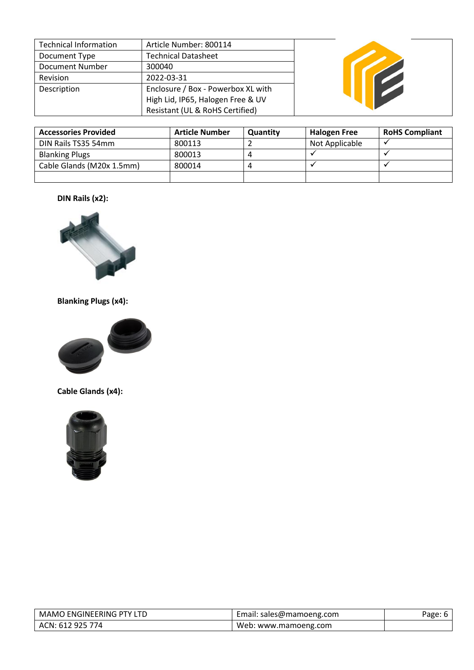| <b>Technical Information</b> | Article Number: 800114             |
|------------------------------|------------------------------------|
| Document Type                | <b>Technical Datasheet</b>         |
| <b>Document Number</b>       | 300040                             |
| Revision                     | 2022-03-31                         |
| Description                  | Enclosure / Box - Powerbox XL with |
|                              | High Lid, IP65, Halogen Free & UV  |
|                              | Resistant (UL & RoHS Certified)    |



| <b>Accessories Provided</b> | <b>Article Number</b> | Quantity | <b>Halogen Free</b> | <b>RoHS Compliant</b> |
|-----------------------------|-----------------------|----------|---------------------|-----------------------|
| DIN Rails TS35 54mm         | 800113                |          | Not Applicable      |                       |
| <b>Blanking Plugs</b>       | 800013                |          |                     |                       |
| Cable Glands (M20x 1.5mm)   | 800014                |          |                     |                       |
|                             |                       |          |                     |                       |

### **DIN Rails (x2):**



### **Blanking Plugs (x4):**



### **Cable Glands (x4):**



| ) ENGINEERING PTY LTD<br>MAMO | Email: sales@mamoeng.com | Page. |
|-------------------------------|--------------------------|-------|
| ACN: 612 925 774              | Web: www.mamoeng.com     |       |